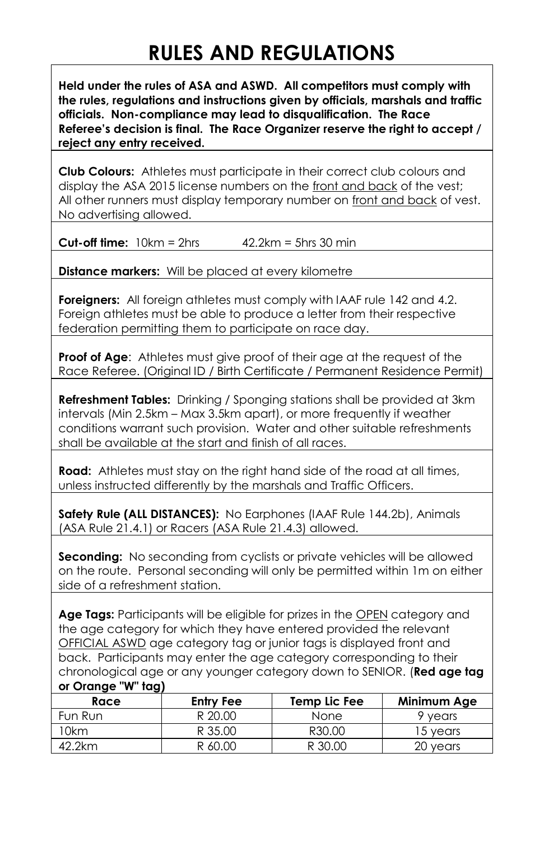## **RULES AND REGULATIONS**

**Held under the rules of ASA and ASWD. All competitors must comply with the rules, regulations and instructions given by officials, marshals and traffic officials. Non-compliance may lead to disqualification. The Race Referee's decision is final. The Race Organizer reserve the right to accept / reject any entry received.**

**Club Colours:** Athletes must participate in their correct club colours and display the ASA 2015 license numbers on the front and back of the vest; All other runners must display temporary number on front and back of vest. No advertising allowed.

**Cut-off time:**  $10km = 2hrs$   $42.2km = 5hrs 30 min$ 

**Distance markers:** Will be placed at every kilometre

**Foreigners:** All foreign athletes must comply with IAAF rule 142 and 4.2. Foreign athletes must be able to produce a letter from their respective federation permitting them to participate on race day.

**Proof of Age:** Athletes must give proof of their gae at the request of the Race Referee. (Original ID / Birth Certificate / Permanent Residence Permit)

**Refreshment Tables:** Drinking / Sponging stations shall be provided at 3km intervals (Min 2.5km – Max 3.5km apart), or more frequently if weather conditions warrant such provision. Water and other suitable refreshments shall be available at the start and finish of all races.

**Road:** Athletes must stay on the right hand side of the road at all times, unless instructed differently by the marshals and Traffic Officers.

**Safety Rule (ALL DISTANCES):** No Earphones (IAAF Rule 144.2b), Animals (ASA Rule 21.4.1) or Racers (ASA Rule 21.4.3) allowed.

**Seconding:** No seconding from cyclists or private vehicles will be allowed on the route. Personal seconding will only be permitted within 1m on either side of a refreshment station.

**Age Tags:** Participants will be eligible for prizes in the OPEN category and the age category for which they have entered provided the relevant OFFICIAL ASWD age category tag or junior tags is displayed front and back. Participants may enter the age category corresponding to their chronological age or any younger category down to SENIOR. (**Red age tag or Orange "W" tag)**

| Race    | Entry Fee | Temp Lic Fee | Minimum Age |
|---------|-----------|--------------|-------------|
| Fun Run | R 20.00   | <b>None</b>  | 9 years     |
| 10km    | R 35.00   | R30.00       | 15 vears    |
| 42.2km  | R 60.00   | R 30.00      | 20 years    |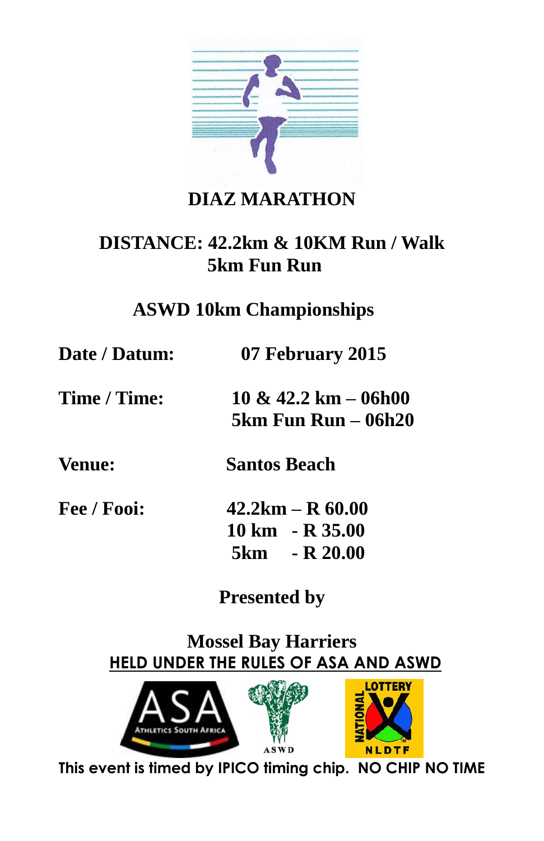

### **DIAZ MARATHON**

#### **DISTANCE: 42.2km & 10KM Run / Walk 5km Fun Run**

#### **ASWD 10km Championships**

**Date / Datum: 07 February 2015**

**Time / Time: 10 & 42.2 km – 06h00 5km Fun Run – 06h20**

**Venue: Santos Beach** 

**Fee / Fooi: 42.2km – R 60.00 10 km - R 35.00 5km - R 20.00** 

**Presented by**

**Mossel Bay Harriers HELD UNDER THE RULES OF ASA AND ASWD**



**This event is timed by IPICO timing chip. NO CHIP NO TIME**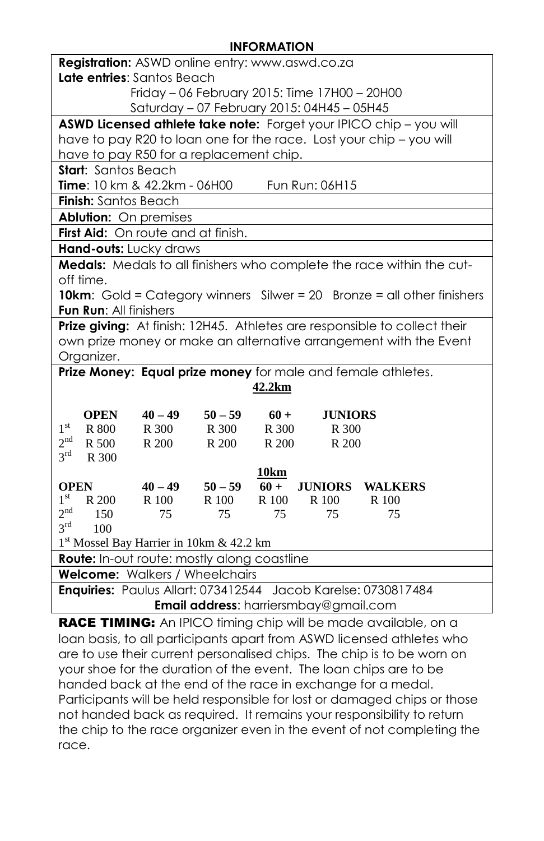#### **INFORMATION**

| Registration: ASWD online entry: www.aswd.co.za               |                                                                           |             |             |                                            |                                                                               |  |
|---------------------------------------------------------------|---------------------------------------------------------------------------|-------------|-------------|--------------------------------------------|-------------------------------------------------------------------------------|--|
| Late entries: Santos Beach                                    |                                                                           |             |             |                                            |                                                                               |  |
|                                                               | Friday - 06 February 2015: Time 17H00 - 20H00                             |             |             |                                            |                                                                               |  |
|                                                               |                                                                           |             |             | Saturday - 07 February 2015: 04H45 - 05H45 |                                                                               |  |
|                                                               |                                                                           |             |             |                                            | ASWD Licensed athlete take note: Forget your IPICO chip - you will            |  |
|                                                               |                                                                           |             |             |                                            | have to pay R20 to loan one for the race. Lost your chip - you will           |  |
| have to pay R50 for a replacement chip.                       |                                                                           |             |             |                                            |                                                                               |  |
| <b>Start:</b> Santos Beach                                    |                                                                           |             |             |                                            |                                                                               |  |
| Time: 10 km & 42.2km - 06H00                                  |                                                                           |             |             | Fun Run: 06H15                             |                                                                               |  |
| Finish: Santos Beach                                          |                                                                           |             |             |                                            |                                                                               |  |
| <b>Ablution:</b> On premises                                  |                                                                           |             |             |                                            |                                                                               |  |
| First Aid: On route and at finish.                            |                                                                           |             |             |                                            |                                                                               |  |
| Hand-outs: Lucky draws                                        |                                                                           |             |             |                                            |                                                                               |  |
|                                                               |                                                                           |             |             |                                            | Medals: Medals to all finishers who complete the race within the cut-         |  |
| off time.                                                     |                                                                           |             |             |                                            |                                                                               |  |
|                                                               |                                                                           |             |             |                                            | <b>10km:</b> Gold = Category winners Silwer = 20 Bronze = all other finishers |  |
| Fun Run: All finishers                                        |                                                                           |             |             |                                            |                                                                               |  |
|                                                               | Prize giving: At finish: 12H45. Athletes are responsible to collect their |             |             |                                            |                                                                               |  |
|                                                               |                                                                           |             |             |                                            | own prize money or make an alternative arrangement with the Event             |  |
| Organizer.                                                    |                                                                           |             |             |                                            |                                                                               |  |
|                                                               |                                                                           |             |             |                                            | Prize Money: Equal prize money for male and female athletes.                  |  |
|                                                               |                                                                           |             | 42.2km      |                                            |                                                                               |  |
|                                                               |                                                                           |             |             |                                            |                                                                               |  |
| <b>OPEN</b>                                                   | $40 - 49$                                                                 | $50 - 59$   | $60 +$      | <b>JUNIORS</b>                             |                                                                               |  |
| 1 <sup>st</sup><br>R 800                                      | R 300                                                                     | R 300       | R 300       | R 300                                      |                                                                               |  |
| 2 <sup>nd</sup><br>R 500                                      | R 200                                                                     | R 200       | R 200       | R 200                                      |                                                                               |  |
| $3^{\text{rd}}$<br>R 300                                      |                                                                           |             |             |                                            |                                                                               |  |
|                                                               |                                                                           |             | <u>10km</u> |                                            |                                                                               |  |
| <b>OPEN</b><br>1 <sup>st</sup>                                | $40 - 49$                                                                 | $50 - 59$   | $60 +$      | <b>JUNIORS</b>                             | <b>WALKERS</b>                                                                |  |
| R 200<br>2 <sup>nd</sup><br>150                               | R 100<br>75                                                               | R 100<br>75 | R 100       | R 100<br>75                                | R 100<br>75                                                                   |  |
| $3^{\text{rd}}$<br>100                                        |                                                                           |             | 75          |                                            |                                                                               |  |
| 1 <sup>st</sup> Mossel Bay Harrier in 10km & 42.2 km          |                                                                           |             |             |                                            |                                                                               |  |
| <b>Route:</b> In-out route: mostly along coastline            |                                                                           |             |             |                                            |                                                                               |  |
| Welcome: Walkers / Wheelchairs                                |                                                                           |             |             |                                            |                                                                               |  |
| Enquiries: Paulus Allart: 073412544 Jacob Karelse: 0730817484 |                                                                           |             |             |                                            |                                                                               |  |
|                                                               | Email address: harriersmbay@gmail.com                                     |             |             |                                            |                                                                               |  |
|                                                               |                                                                           |             |             |                                            |                                                                               |  |

**RACE TIMING:** An IPICO timing chip will be made available, on a loan basis, to all participants apart from ASWD licensed athletes who are to use their current personalised chips. The chip is to be worn on your shoe for the duration of the event. The loan chips are to be handed back at the end of the race in exchange for a medal. Participants will be held responsible for lost or damaged chips or those not handed back as required. It remains your responsibility to return the chip to the race organizer even in the event of not completing the race.